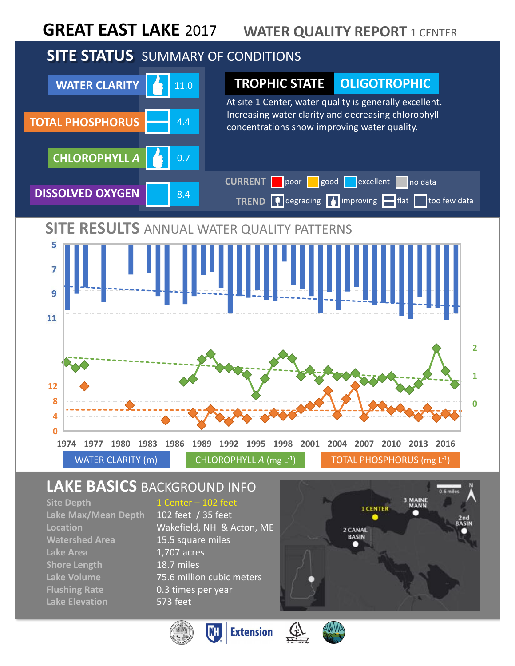#### **GREAT EAST LAKE** 2017 **WATER QUALITY REPORT 1 CENTER**

# **SITE STATUS** SUMMARY OF CONDITIONS



## **LAKE BASICS** BACKGROUND INFO

**Lake Max/Mean Depth** 102 feet / 35 feet **Watershed Area** 15.5 square miles Lake Area **1,707** acres **Shore Length** 18.7 miles **Flushing Rate** 0.3 times per year **Lake Elevation** 573 feet

#### **Site Depth** 1 Center – 102 feet

**Location** Wakefield, NH & Acton, ME **Lake Volume** 75.6 million cubic meters





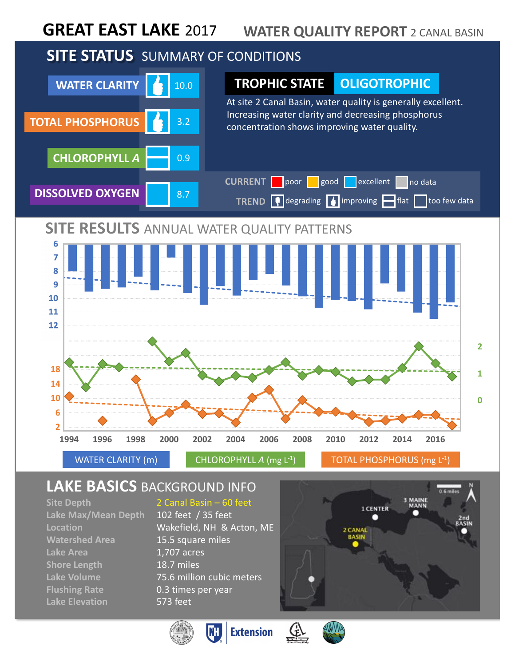#### **WATER QUALITY REPORT** 2 CANAL BASIN **GREAT EAST LAKE** 2017

# **SITE STATUS** SUMMARY OF CONDITIONS



## **LAKE BASICS** BACKGROUND INFO

**Lake Max/Mean Depth** 102 feet / 35 feet **Watershed Area** 15.5 square miles Lake Area **1,707** acres **Shore Length** 18.7 miles **Flushing Rate** 0.3 times per year **Lake Elevation** 573 feet

**Site Depth** 2 Canal Basin – 60 feet

**Location** Wakefield, NH & Acton, ME **Lake Volume** 75.6 million cubic meters





**Extension** W



<u>(f)</u>

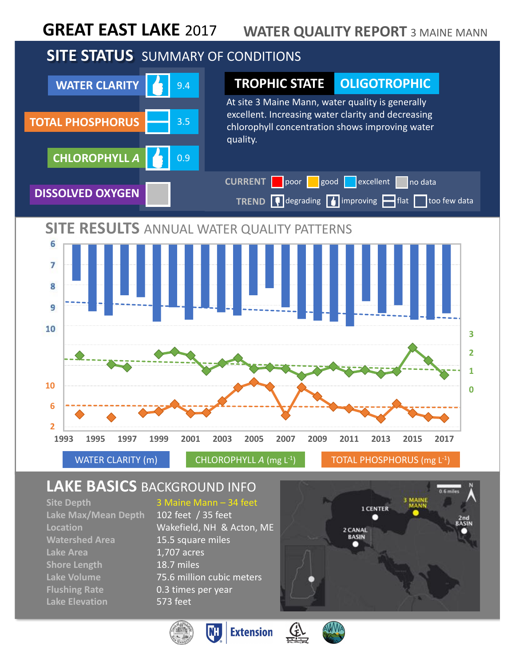#### **GREAT EAST LAKE** 2017 **WATER QUALITY REPORT** 3 MAINE MANN

# **SITE STATUS** SUMMARY OF CONDITIONS



## **LAKE BASICS** BACKGROUND INFO

**Site Depth** 3 Maine Mann – 34 feet **Lake Max/Mean Depth** 102 feet / 35 feet **Watershed Area** 15.5 square miles Lake Area **1,707** acres **Shore Length** 18.7 miles **Flushing Rate** 0.3 times per year **Lake Elevation** 573 feet

**Location** Wakefield, NH & Acton, ME **Lake Volume** 75.6 million cubic meters

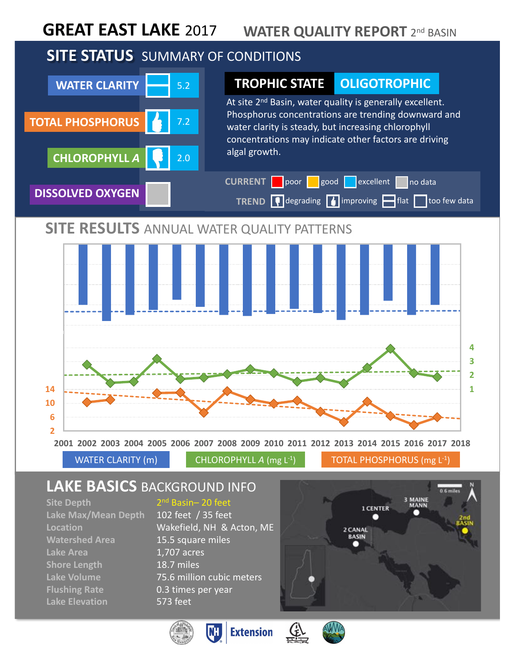#### **GREAT EAST LAKE** 2017 **WATER QUALITY REPORT** 2<sup>nd</sup> BASIN

# **SITE STATUS** SUMMARY OF CONDITIONS



WATER CLARITY (m) CHLOROPHYLL *A* (mg L<sup>-1</sup>) TOTAL PHOSPHORUS (mg L<sup>-1</sup>)

## **LAKE BASICS** BACKGROUND INFO

**Lake Max/Mean Depth** 102 feet / 35 feet **Watershed Area** 15.5 square miles Lake Area **1,707** acres **Shore Length** 18.7 miles **Flushing Rate** 0.3 times per year **Lake Elevation** 573 feet

#### **Site Depth** 2<sup>nd</sup> Basin– 20 feet

**Location** Wakefield, NH & Acton, ME **Lake Volume** 75.6 million cubic meters